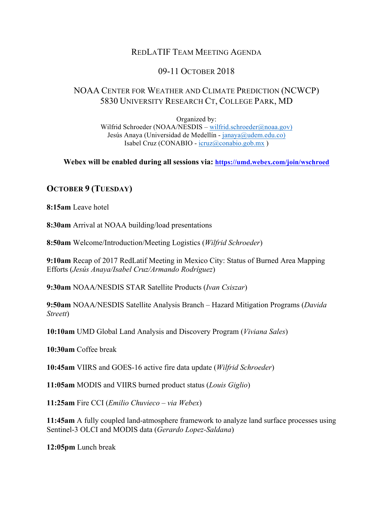# REDLATIF TEAM MEETING AGENDA

# 09-11 OCTOBER 2018

## NOAA CENTER FOR WEATHER AND CLIMATE PREDICTION (NCWCP) 5830 UNIVERSITY RESEARCH CT, COLLEGE PARK, MD

Organized by: Wilfrid Schroeder (NOAA/NESDIS – wilfrid.schroeder@noaa.gov) Jesús Anaya (Universidad de Medellín - janaya@udem.edu.co) Isabel Cruz (CONABIO - icruz@conabio.gob.mx )

**Webex will be enabled during all sessions via: https://umd.webex.com/join/wschroed**

### **OCTOBER 9 (TUESDAY)**

**8:15am** Leave hotel

**8:30am** Arrival at NOAA building/load presentations

**8:50am** Welcome/Introduction/Meeting Logistics (*Wilfrid Schroeder*)

**9:10am** Recap of 2017 RedLatif Meeting in Mexico City: Status of Burned Area Mapping Efforts (*Jesús Anaya/Isabel Cruz/Armando Rodríguez*)

**9:30am** NOAA/NESDIS STAR Satellite Products (*Ivan Csiszar*)

**9:50am** NOAA/NESDIS Satellite Analysis Branch – Hazard Mitigation Programs (*Davida Streett*)

**10:10am** UMD Global Land Analysis and Discovery Program (*Viviana Sales*)

**10:30am** Coffee break

**10:45am** VIIRS and GOES-16 active fire data update (*Wilfrid Schroeder*)

**11:05am** MODIS and VIIRS burned product status (*Louis Giglio*)

**11:25am** Fire CCI (*Emilio Chuvieco – via Webex*)

**11:45am** A fully coupled land-atmosphere framework to analyze land surface processes using Sentinel-3 OLCI and MODIS data (*Gerardo Lopez-Saldana*)

**12:05pm** Lunch break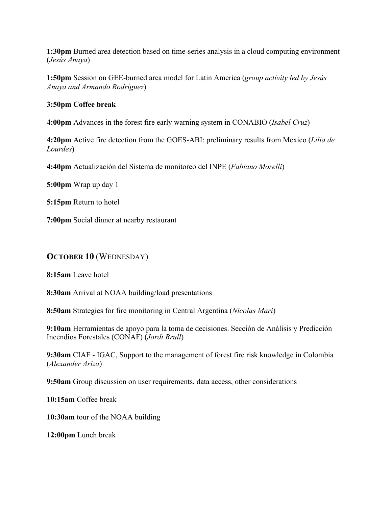**1:30pm** Burned area detection based on time-series analysis in a cloud computing environment (*Jesús Anaya*)

**1:50pm** Session on GEE-burned area model for Latin America (*group activity led by Jesús Anaya and Armando Rodriguez*)

#### **3:50pm Coffee break**

**4:00pm** Advances in the forest fire early warning system in CONABIO (*Isabel Cruz*)

**4:20pm** Active fire detection from the GOES-ABI: preliminary results from Mexico (*Lilia de Lourdes*)

**4:40pm** Actualización del Sistema de monitoreo del INPE (*Fabiano Morelli*)

**5:00pm** Wrap up day 1

**5:15pm** Return to hotel

**7:00pm** Social dinner at nearby restaurant

# **OCTOBER 10** (WEDNESDAY)

**8:15am** Leave hotel

**8:30am** Arrival at NOAA building/load presentations

**8:50am** Strategies for fire monitoring in Central Argentina (*Nicolas Mari*)

**9:10am** Herramientas de apoyo para la toma de decisiones. Sección de Análisis y Predicción Incendios Forestales (CONAF) (*Jordi Brull*)

**9:30am** CIAF - IGAC, Support to the management of forest fire risk knowledge in Colombia (*Alexander Ariza*)

**9:50am** Group discussion on user requirements, data access, other considerations

**10:15am** Coffee break

**10:30am** tour of the NOAA building

**12:00pm** Lunch break